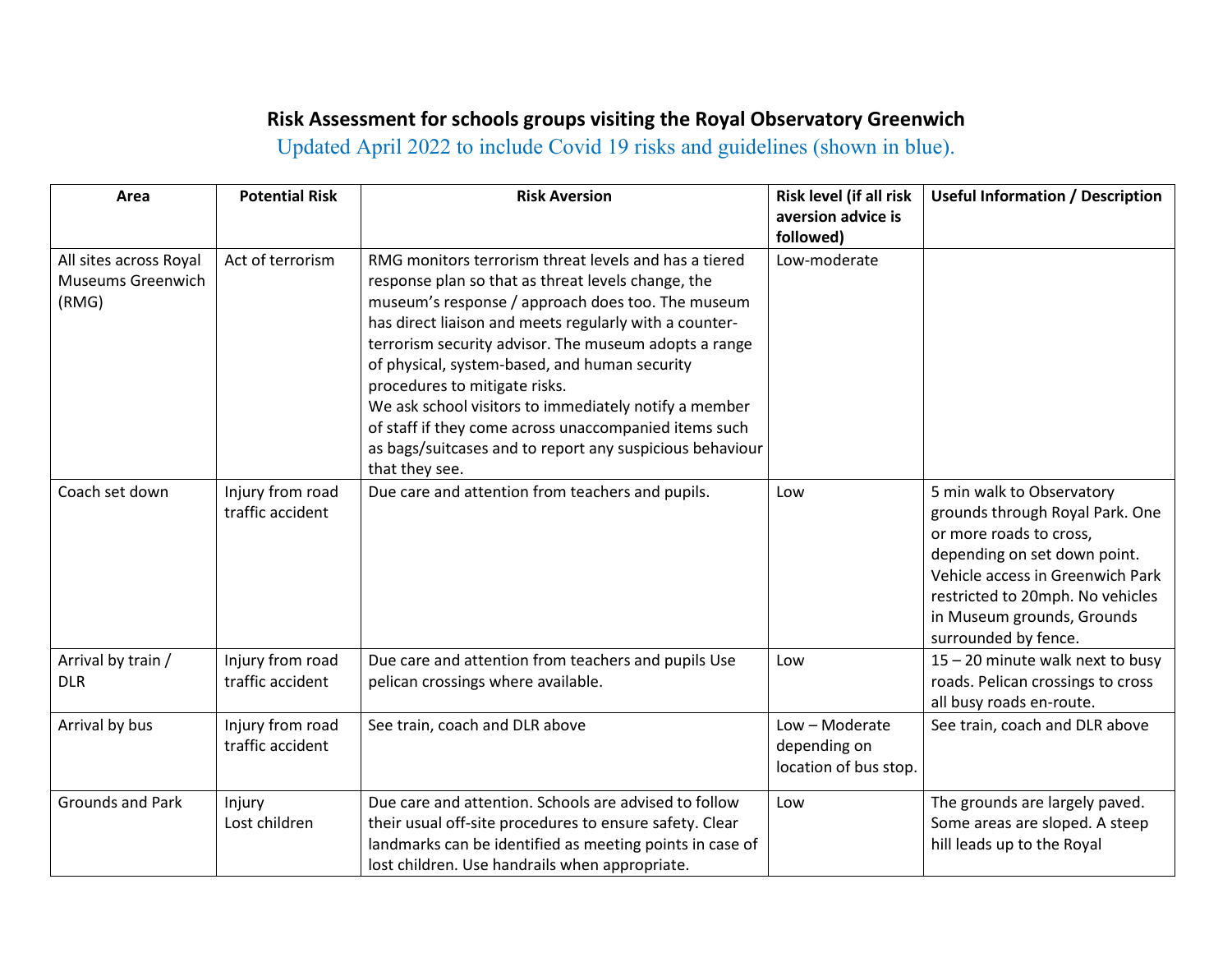## **Risk Assessment for schools groups visiting the Royal Observatory Greenwich**

Updated April 2022 to include Covid 19 risks and guidelines (shown in blue).

| Area                                                        | <b>Potential Risk</b>                | <b>Risk Aversion</b>                                                                                                                                                                                                                                                                                                                                                                                                                                                                                                                                                  | Risk level (if all risk<br>aversion advice is<br>followed) | <b>Useful Information / Description</b>                                                                                                                                                                                                               |
|-------------------------------------------------------------|--------------------------------------|-----------------------------------------------------------------------------------------------------------------------------------------------------------------------------------------------------------------------------------------------------------------------------------------------------------------------------------------------------------------------------------------------------------------------------------------------------------------------------------------------------------------------------------------------------------------------|------------------------------------------------------------|-------------------------------------------------------------------------------------------------------------------------------------------------------------------------------------------------------------------------------------------------------|
| All sites across Royal<br><b>Museums Greenwich</b><br>(RMG) | Act of terrorism                     | RMG monitors terrorism threat levels and has a tiered<br>response plan so that as threat levels change, the<br>museum's response / approach does too. The museum<br>has direct liaison and meets regularly with a counter-<br>terrorism security advisor. The museum adopts a range<br>of physical, system-based, and human security<br>procedures to mitigate risks.<br>We ask school visitors to immediately notify a member<br>of staff if they come across unaccompanied items such<br>as bags/suitcases and to report any suspicious behaviour<br>that they see. | Low-moderate                                               |                                                                                                                                                                                                                                                       |
| Coach set down                                              | Injury from road<br>traffic accident | Due care and attention from teachers and pupils.                                                                                                                                                                                                                                                                                                                                                                                                                                                                                                                      | Low                                                        | 5 min walk to Observatory<br>grounds through Royal Park. One<br>or more roads to cross,<br>depending on set down point.<br>Vehicle access in Greenwich Park<br>restricted to 20mph. No vehicles<br>in Museum grounds, Grounds<br>surrounded by fence. |
| Arrival by train /<br><b>DLR</b>                            | Injury from road<br>traffic accident | Due care and attention from teachers and pupils Use<br>pelican crossings where available.                                                                                                                                                                                                                                                                                                                                                                                                                                                                             | Low                                                        | 15 - 20 minute walk next to busy<br>roads. Pelican crossings to cross<br>all busy roads en-route.                                                                                                                                                     |
| Arrival by bus                                              | Injury from road<br>traffic accident | See train, coach and DLR above                                                                                                                                                                                                                                                                                                                                                                                                                                                                                                                                        | Low - Moderate<br>depending on<br>location of bus stop.    | See train, coach and DLR above                                                                                                                                                                                                                        |
| <b>Grounds and Park</b>                                     | Injury<br>Lost children              | Due care and attention. Schools are advised to follow<br>their usual off-site procedures to ensure safety. Clear<br>landmarks can be identified as meeting points in case of<br>lost children. Use handrails when appropriate.                                                                                                                                                                                                                                                                                                                                        | Low                                                        | The grounds are largely paved.<br>Some areas are sloped. A steep<br>hill leads up to the Royal                                                                                                                                                        |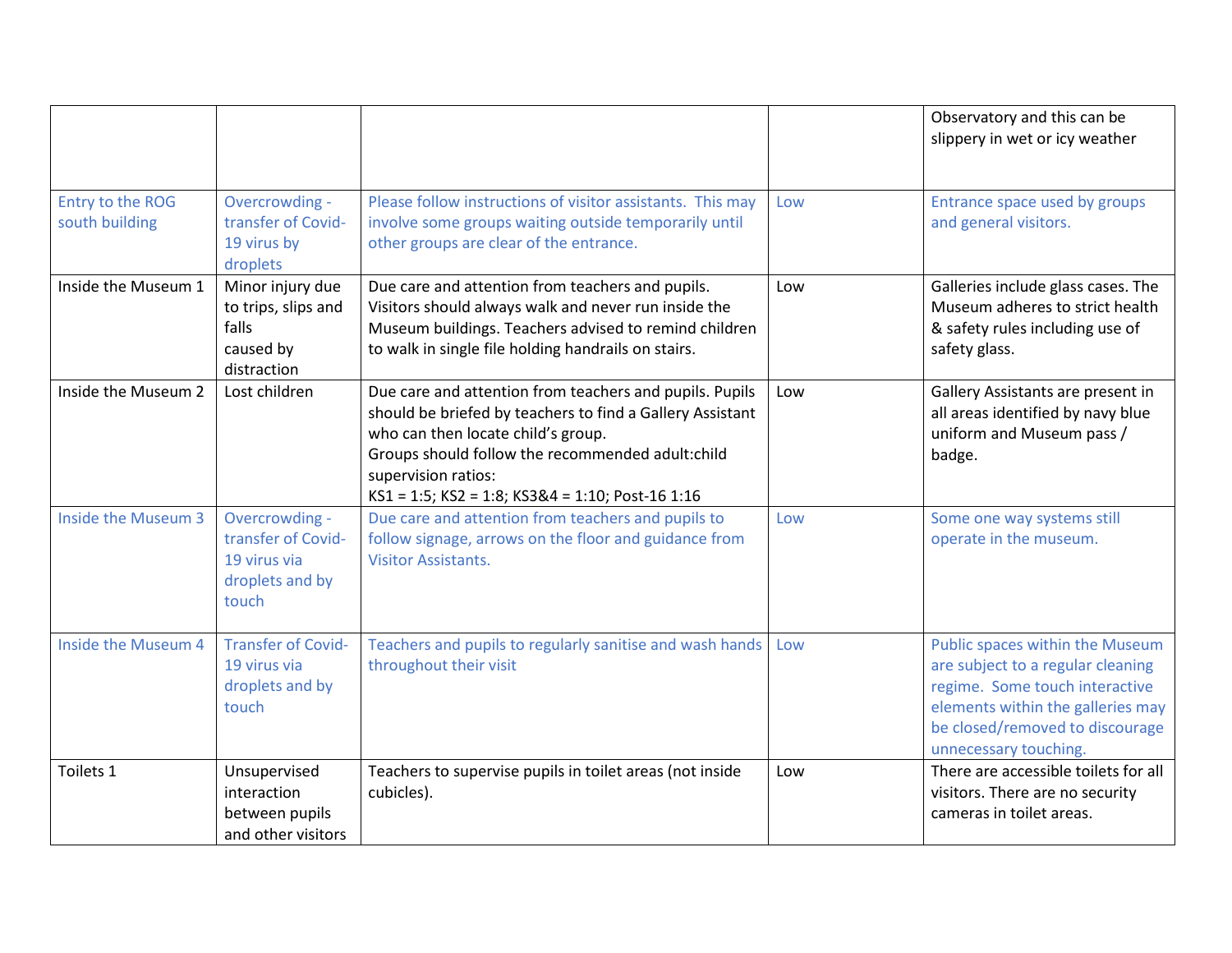|                                    |                                                                                  |                                                                                                                                                                                                                                                                                           |     | Observatory and this can be<br>slippery in wet or icy weather                                                                                                                                           |
|------------------------------------|----------------------------------------------------------------------------------|-------------------------------------------------------------------------------------------------------------------------------------------------------------------------------------------------------------------------------------------------------------------------------------------|-----|---------------------------------------------------------------------------------------------------------------------------------------------------------------------------------------------------------|
| Entry to the ROG<br>south building | Overcrowding -<br>transfer of Covid-<br>19 virus by<br>droplets                  | Please follow instructions of visitor assistants. This may<br>involve some groups waiting outside temporarily until<br>other groups are clear of the entrance.                                                                                                                            | Low | Entrance space used by groups<br>and general visitors.                                                                                                                                                  |
| Inside the Museum 1                | Minor injury due<br>to trips, slips and<br>falls<br>caused by<br>distraction     | Due care and attention from teachers and pupils.<br>Visitors should always walk and never run inside the<br>Museum buildings. Teachers advised to remind children<br>to walk in single file holding handrails on stairs.                                                                  | Low | Galleries include glass cases. The<br>Museum adheres to strict health<br>& safety rules including use of<br>safety glass.                                                                               |
| Inside the Museum 2                | Lost children                                                                    | Due care and attention from teachers and pupils. Pupils<br>should be briefed by teachers to find a Gallery Assistant<br>who can then locate child's group.<br>Groups should follow the recommended adult:child<br>supervision ratios:<br>KS1 = 1:5; KS2 = 1:8; KS3&4 = 1:10; Post-16 1:16 | Low | Gallery Assistants are present in<br>all areas identified by navy blue<br>uniform and Museum pass /<br>badge.                                                                                           |
| Inside the Museum 3                | Overcrowding -<br>transfer of Covid-<br>19 virus via<br>droplets and by<br>touch | Due care and attention from teachers and pupils to<br>follow signage, arrows on the floor and guidance from<br><b>Visitor Assistants.</b>                                                                                                                                                 | Low | Some one way systems still<br>operate in the museum.                                                                                                                                                    |
| Inside the Museum 4                | <b>Transfer of Covid-</b><br>19 virus via<br>droplets and by<br>touch            | Teachers and pupils to regularly sanitise and wash hands<br>throughout their visit                                                                                                                                                                                                        | Low | Public spaces within the Museum<br>are subject to a regular cleaning<br>regime. Some touch interactive<br>elements within the galleries may<br>be closed/removed to discourage<br>unnecessary touching. |
| Toilets 1                          | Unsupervised<br>interaction<br>between pupils<br>and other visitors              | Teachers to supervise pupils in toilet areas (not inside<br>cubicles).                                                                                                                                                                                                                    | Low | There are accessible toilets for all<br>visitors. There are no security<br>cameras in toilet areas.                                                                                                     |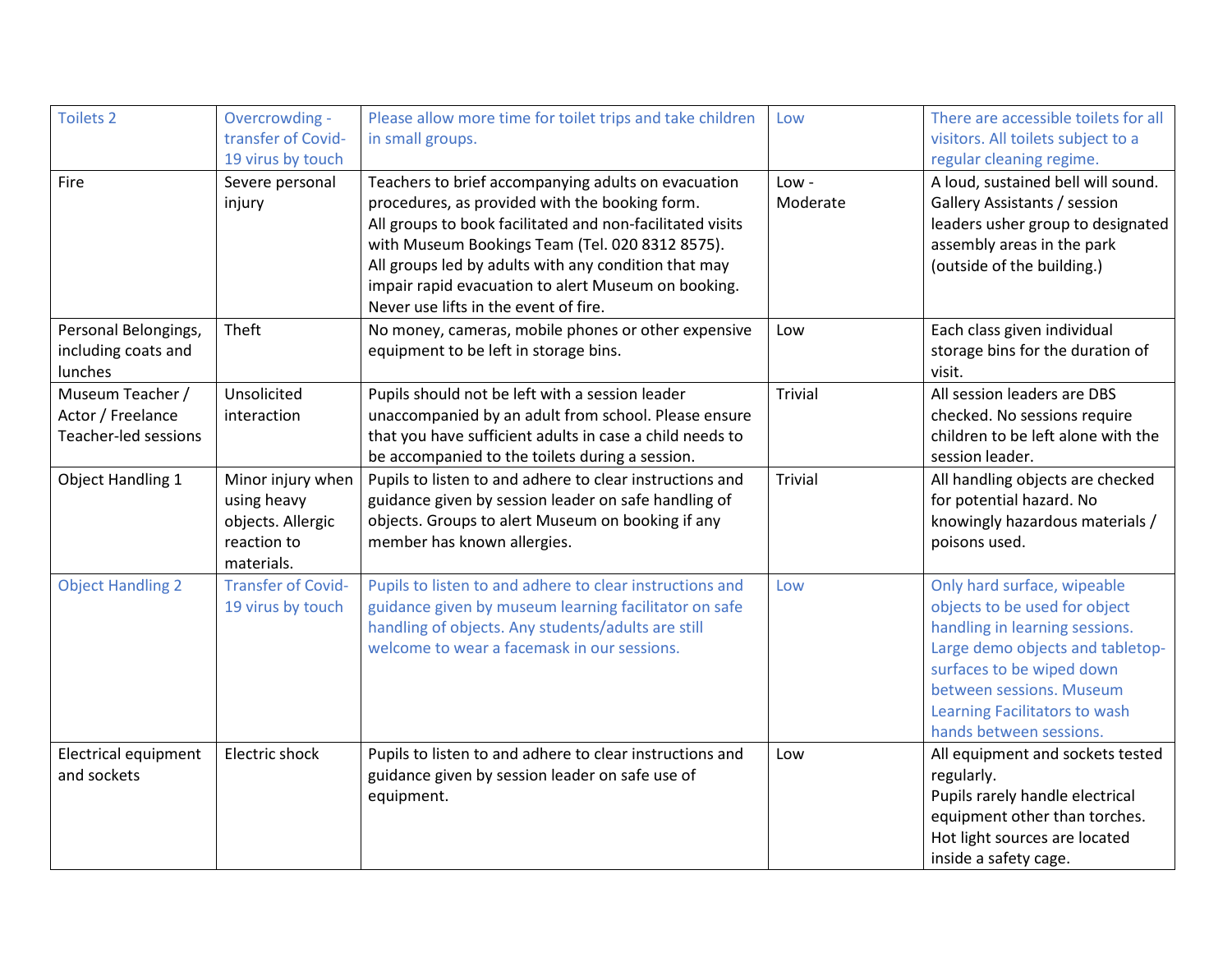| <b>Toilets 2</b>                                              | Overcrowding -<br>transfer of Covid-<br>19 virus by touch                          | Please allow more time for toilet trips and take children<br>in small groups.                                                                                                                                                                                                                                                                                                 | Low              | There are accessible toilets for all<br>visitors. All toilets subject to a<br>regular cleaning regime.                                                                                                                                                  |
|---------------------------------------------------------------|------------------------------------------------------------------------------------|-------------------------------------------------------------------------------------------------------------------------------------------------------------------------------------------------------------------------------------------------------------------------------------------------------------------------------------------------------------------------------|------------------|---------------------------------------------------------------------------------------------------------------------------------------------------------------------------------------------------------------------------------------------------------|
| Fire                                                          | Severe personal<br>injury                                                          | Teachers to brief accompanying adults on evacuation<br>procedures, as provided with the booking form.<br>All groups to book facilitated and non-facilitated visits<br>with Museum Bookings Team (Tel. 020 8312 8575).<br>All groups led by adults with any condition that may<br>impair rapid evacuation to alert Museum on booking.<br>Never use lifts in the event of fire. | Low-<br>Moderate | A loud, sustained bell will sound.<br>Gallery Assistants / session<br>leaders usher group to designated<br>assembly areas in the park<br>(outside of the building.)                                                                                     |
| Personal Belongings,<br>including coats and<br>lunches        | Theft                                                                              | No money, cameras, mobile phones or other expensive<br>equipment to be left in storage bins.                                                                                                                                                                                                                                                                                  | Low              | Each class given individual<br>storage bins for the duration of<br>visit.                                                                                                                                                                               |
| Museum Teacher /<br>Actor / Freelance<br>Teacher-led sessions | Unsolicited<br>interaction                                                         | Pupils should not be left with a session leader<br>unaccompanied by an adult from school. Please ensure<br>that you have sufficient adults in case a child needs to<br>be accompanied to the toilets during a session.                                                                                                                                                        | Trivial          | All session leaders are DBS<br>checked. No sessions require<br>children to be left alone with the<br>session leader.                                                                                                                                    |
| <b>Object Handling 1</b>                                      | Minor injury when<br>using heavy<br>objects. Allergic<br>reaction to<br>materials. | Pupils to listen to and adhere to clear instructions and<br>guidance given by session leader on safe handling of<br>objects. Groups to alert Museum on booking if any<br>member has known allergies.                                                                                                                                                                          | <b>Trivial</b>   | All handling objects are checked<br>for potential hazard. No<br>knowingly hazardous materials /<br>poisons used.                                                                                                                                        |
| <b>Object Handling 2</b>                                      | <b>Transfer of Covid-</b><br>19 virus by touch                                     | Pupils to listen to and adhere to clear instructions and<br>guidance given by museum learning facilitator on safe<br>handling of objects. Any students/adults are still<br>welcome to wear a facemask in our sessions.                                                                                                                                                        | Low              | Only hard surface, wipeable<br>objects to be used for object<br>handling in learning sessions.<br>Large demo objects and tabletop-<br>surfaces to be wiped down<br>between sessions. Museum<br>Learning Facilitators to wash<br>hands between sessions. |
| <b>Electrical equipment</b><br>and sockets                    | Electric shock                                                                     | Pupils to listen to and adhere to clear instructions and<br>guidance given by session leader on safe use of<br>equipment.                                                                                                                                                                                                                                                     | Low              | All equipment and sockets tested<br>regularly.<br>Pupils rarely handle electrical<br>equipment other than torches.<br>Hot light sources are located<br>inside a safety cage.                                                                            |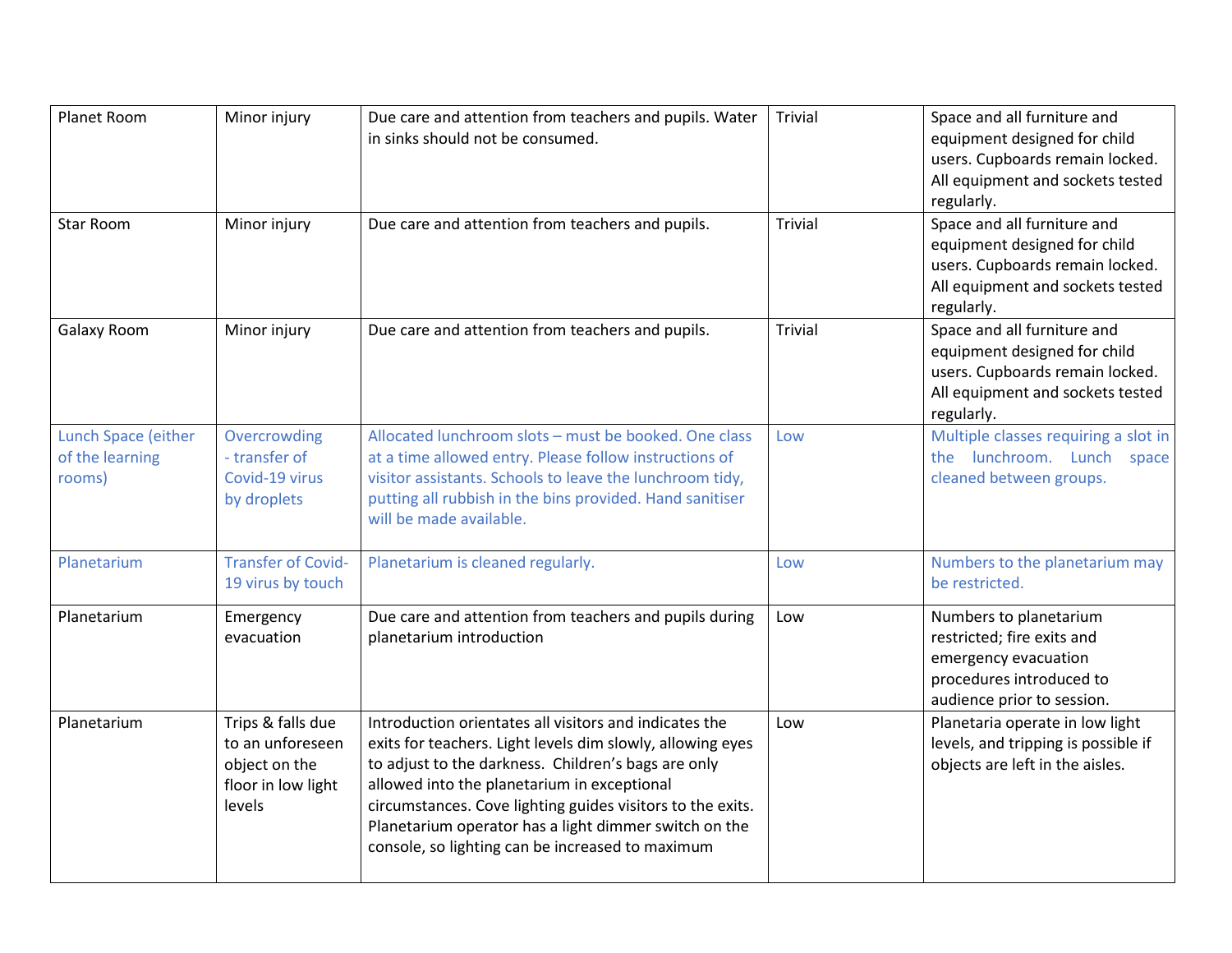| Planet Room                                      | Minor injury                                                                           | Due care and attention from teachers and pupils. Water<br>in sinks should not be consumed.                                                                                                                                                                                                                                                                                                            | <b>Trivial</b> | Space and all furniture and<br>equipment designed for child<br>users. Cupboards remain locked.<br>All equipment and sockets tested<br>regularly. |
|--------------------------------------------------|----------------------------------------------------------------------------------------|-------------------------------------------------------------------------------------------------------------------------------------------------------------------------------------------------------------------------------------------------------------------------------------------------------------------------------------------------------------------------------------------------------|----------------|--------------------------------------------------------------------------------------------------------------------------------------------------|
| <b>Star Room</b>                                 | Minor injury                                                                           | Due care and attention from teachers and pupils.                                                                                                                                                                                                                                                                                                                                                      | <b>Trivial</b> | Space and all furniture and<br>equipment designed for child<br>users. Cupboards remain locked.<br>All equipment and sockets tested<br>regularly. |
| Galaxy Room                                      | Minor injury                                                                           | Due care and attention from teachers and pupils.                                                                                                                                                                                                                                                                                                                                                      | <b>Trivial</b> | Space and all furniture and<br>equipment designed for child<br>users. Cupboards remain locked.<br>All equipment and sockets tested<br>regularly. |
| Lunch Space (either<br>of the learning<br>rooms) | Overcrowding<br>- transfer of<br>Covid-19 virus<br>by droplets                         | Allocated lunchroom slots - must be booked. One class<br>at a time allowed entry. Please follow instructions of<br>visitor assistants. Schools to leave the lunchroom tidy,<br>putting all rubbish in the bins provided. Hand sanitiser<br>will be made available.                                                                                                                                    | Low            | Multiple classes requiring a slot in<br>the lunchroom. Lunch space<br>cleaned between groups.                                                    |
| Planetarium                                      | <b>Transfer of Covid-</b><br>19 virus by touch                                         | Planetarium is cleaned regularly.                                                                                                                                                                                                                                                                                                                                                                     | Low            | Numbers to the planetarium may<br>be restricted.                                                                                                 |
| Planetarium                                      | Emergency<br>evacuation                                                                | Due care and attention from teachers and pupils during<br>planetarium introduction                                                                                                                                                                                                                                                                                                                    | Low            | Numbers to planetarium<br>restricted; fire exits and<br>emergency evacuation<br>procedures introduced to<br>audience prior to session.           |
| Planetarium                                      | Trips & falls due<br>to an unforeseen<br>object on the<br>floor in low light<br>levels | Introduction orientates all visitors and indicates the<br>exits for teachers. Light levels dim slowly, allowing eyes<br>to adjust to the darkness. Children's bags are only<br>allowed into the planetarium in exceptional<br>circumstances. Cove lighting guides visitors to the exits.<br>Planetarium operator has a light dimmer switch on the<br>console, so lighting can be increased to maximum | Low            | Planetaria operate in low light<br>levels, and tripping is possible if<br>objects are left in the aisles.                                        |